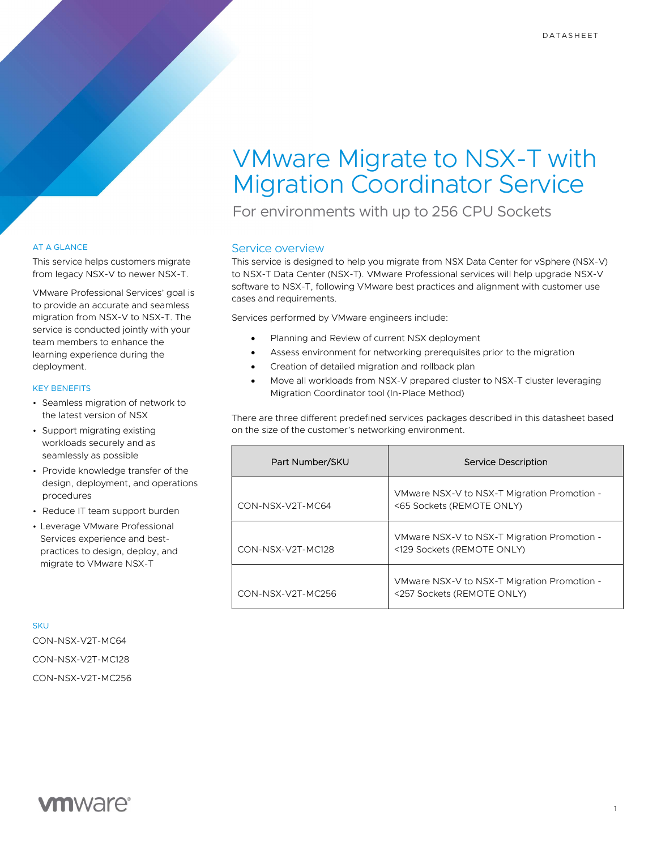# VMware Migrate to NSX-T with Migration Coordinator Service

For environments with up to 256 CPU Sockets

# Service overview

This service is designed to help you migrate from NSX Data Center for vSphere (NSX-V) to NSX-T Data Center (NSX-T). VMware Professional services will help upgrade NSX-V software to NSX-T, following VMware best practices and alignment with customer use cases and requirements.

Services performed by VMware engineers include:

- Planning and Review of current NSX deployment
	- Assess environment for networking prerequisites prior to the migration
- Creation of detailed migration and rollback plan
- Move all workloads from NSX-V prepared cluster to NSX-T cluster leveraging Migration Coordinator tool (In-Place Method)

There are three different predefined services packages described in this datasheet based on the size of the customer's networking environment.

| Part Number/SKU   | Service Description                                                       |
|-------------------|---------------------------------------------------------------------------|
| CON-NSX-V2T-MC64  | VMware NSX-V to NSX-T Migration Promotion -<br><65 Sockets (REMOTE ONLY)  |
| CON-NSX-V2T-MC128 | VMware NSX-V to NSX-T Migration Promotion -<br><129 Sockets (REMOTE ONLY) |
| CON-NSX-V2T-MC256 | VMware NSX-V to NSX-T Migration Promotion -<br><257 Sockets (REMOTE ONLY) |

### AT A GLANCE

This service helps customers migrate from legacy NSX-V to newer NSX-T.

VMware Professional Services' goal is to provide an accurate and seamless migration from NSX-V to NSX-T. The service is conducted jointly with your team members to enhance the learning experience during the deployment.

## KEY BENEFITS

- Seamless migration of network to the latest version of NSX
- Support migrating existing workloads securely and as seamlessly as possible
- Provide knowledge transfer of the design, deployment, and operations procedures
- Reduce IT team support burden
- Leverage VMware Professional Services experience and bestpractices to design, deploy, and migrate to VMware NSX-T

**SKU** CON-NSX-V2T-MC64

CON-NSX-V2T-MC128 CON-NSX-V2T-MC256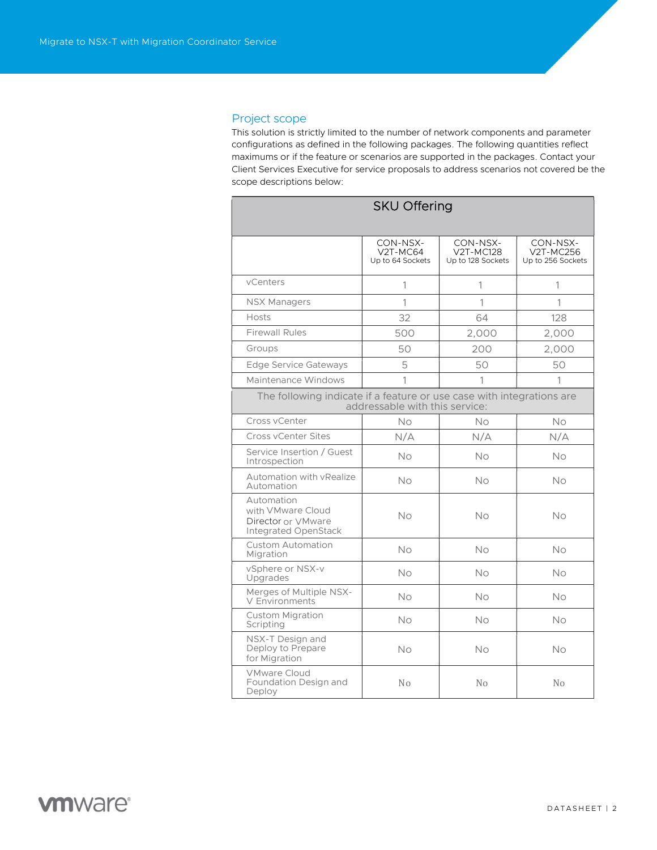# Project scope

This solution is strictly limited to the number of network components and parameter configurations as defined in the following packages. The following quantities reflect maximums or if the feature or scenarios are supported in the packages. Contact your Client Services Executive for service proposals to address scenarios not covered be the scope descriptions below:

| <b>SKU Offering</b>                                                                                     |                                          |                                            |                                            |  |
|---------------------------------------------------------------------------------------------------------|------------------------------------------|--------------------------------------------|--------------------------------------------|--|
|                                                                                                         | CON-NSX-<br>V2T-MC64<br>Up to 64 Sockets | CON-NSX-<br>V2T-MC128<br>Up to 128 Sockets | CON-NSX-<br>V2T-MC256<br>Up to 256 Sockets |  |
| vCenters                                                                                                | 1                                        | 1                                          | 1                                          |  |
| <b>NSX Managers</b>                                                                                     | 1                                        | 1                                          | 1                                          |  |
| Hosts                                                                                                   | 32                                       | 64                                         | 128                                        |  |
| <b>Firewall Rules</b>                                                                                   | 500                                      | 2,000                                      | 2,000                                      |  |
| Groups                                                                                                  | 50                                       | 200                                        | 2,000                                      |  |
| Edge Service Gateways                                                                                   | 5                                        | 50                                         | 50                                         |  |
| Maintenance Windows                                                                                     | 1                                        | 1                                          | 1                                          |  |
| The following indicate if a feature or use case with integrations are<br>addressable with this service: |                                          |                                            |                                            |  |
| Cross vCenter                                                                                           | No                                       | <b>No</b>                                  | No                                         |  |
| Cross vCenter Sites                                                                                     | N/A                                      | N/A                                        | N/A                                        |  |
| Service Insertion / Guest<br>Introspection                                                              | <b>No</b>                                | <b>No</b>                                  | <b>No</b>                                  |  |
| Automation with vRealize<br>Automation                                                                  | Νo                                       | No                                         | No.                                        |  |
| Automation<br>with VMware Cloud<br>Director or VMware<br>Integrated OpenStack                           | No                                       | No                                         | No                                         |  |
| <b>Custom Automation</b><br>Migration                                                                   | <b>No</b>                                | <b>No</b>                                  | No                                         |  |
| vSphere or NSX-v<br>Upgrades                                                                            | No                                       | <b>No</b>                                  | No                                         |  |
| Merges of Multiple NSX-<br>V Environments                                                               | No                                       | <b>No</b>                                  | No                                         |  |
| <b>Custom Migration</b><br>Scripting                                                                    | <b>No</b>                                | <b>No</b>                                  | <b>No</b>                                  |  |
| NSX-T Design and<br>Deploy to Prepare<br>for Migration                                                  | <b>No</b>                                | <b>No</b>                                  | <b>No</b>                                  |  |
| <b>VMware Cloud</b><br>Foundation Design and<br>Deploy                                                  | No                                       | No                                         | N <sub>o</sub>                             |  |

# **vm**ware<sup>®</sup>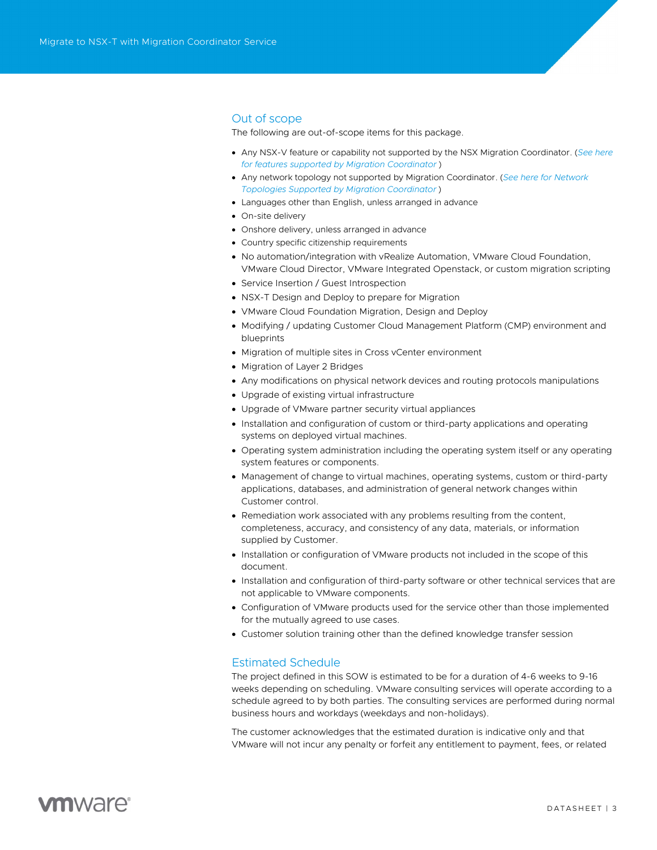# Out of scope

The following are out-of-scope items for this package.

- Any NSX-V feature or capability not supported by the NSX Migration Coordinator. (See here for features supported by Migration Coordinator )
- Any network topology not supported by Migration Coordinator. (See here for Network Topologies Supported by Migration Coordinator )
- Languages other than English, unless arranged in advance
- On-site delivery
- Onshore delivery, unless arranged in advance
- Country specific citizenship requirements
- No automation/integration with vRealize Automation, VMware Cloud Foundation, VMware Cloud Director, VMware Integrated Openstack, or custom migration scripting
- Service Insertion / Guest Introspection
- NSX-T Design and Deploy to prepare for Migration
- VMware Cloud Foundation Migration, Design and Deploy
- Modifying / updating Customer Cloud Management Platform (CMP) environment and blueprints
- Migration of multiple sites in Cross vCenter environment
- Migration of Layer 2 Bridges
- Any modifications on physical network devices and routing protocols manipulations
- Upgrade of existing virtual infrastructure
- Upgrade of VMware partner security virtual appliances
- Installation and configuration of custom or third-party applications and operating systems on deployed virtual machines.
- Operating system administration including the operating system itself or any operating system features or components.
- Management of change to virtual machines, operating systems, custom or third-party applications, databases, and administration of general network changes within Customer control.
- Remediation work associated with any problems resulting from the content, completeness, accuracy, and consistency of any data, materials, or information supplied by Customer.
- Installation or configuration of VMware products not included in the scope of this document.
- Installation and configuration of third-party software or other technical services that are not applicable to VMware components.
- Configuration of VMware products used for the service other than those implemented for the mutually agreed to use cases.
- Customer solution training other than the defined knowledge transfer session

#### Estimated Schedule

The project defined in this SOW is estimated to be for a duration of 4-6 weeks to 9-16 weeks depending on scheduling. VMware consulting services will operate according to a schedule agreed to by both parties. The consulting services are performed during normal business hours and workdays (weekdays and non-holidays).

The customer acknowledges that the estimated duration is indicative only and that VMware will not incur any penalty or forfeit any entitlement to payment, fees, or related

# **vm**ware<sup>®</sup>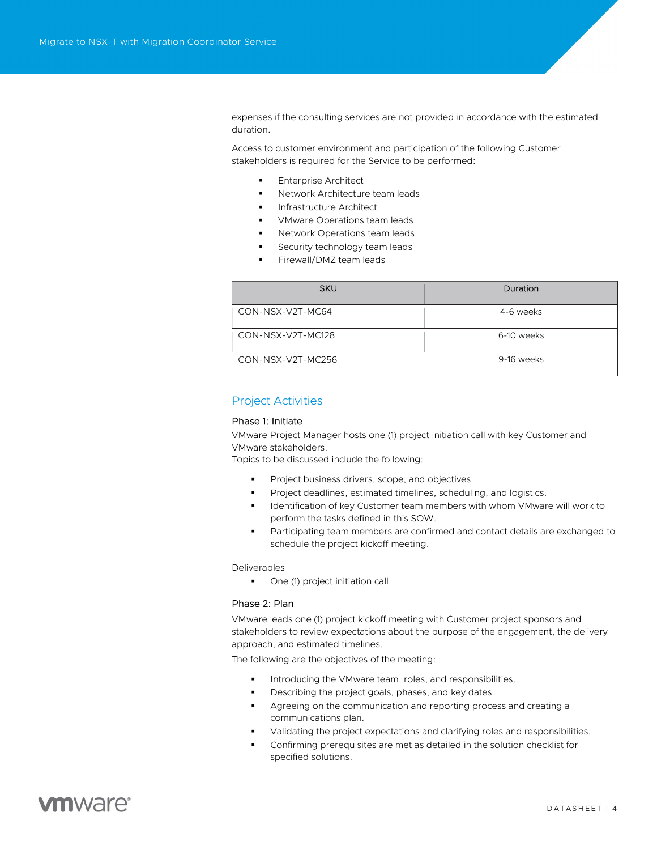expenses if the consulting services are not provided in accordance with the estimated duration.

Access to customer environment and participation of the following Customer stakeholders is required for the Service to be performed:

- Enterprise Architect
- Network Architecture team leads
- Infrastructure Architect
- VMware Operations team leads
- Network Operations team leads
- Security technology team leads
- Firewall/DMZ team leads

| <b>SKU</b>        | Duration   |
|-------------------|------------|
| CON-NSX-V2T-MC64  | 4-6 weeks  |
| CON-NSX-V2T-MC128 | 6-10 weeks |
| CON-NSX-V2T-MC256 | 9-16 weeks |

# Project Activities

### Phase 1: Initiate

VMware Project Manager hosts one (1) project initiation call with key Customer and VMware stakeholders.

Topics to be discussed include the following:

- Project business drivers, scope, and objectives.
- Project deadlines, estimated timelines, scheduling, and logistics.
- **IDENTIFICATION CONTER WITH MET ASSET WE ARREST METABOL FOR THE VIDEO FOR THE VIDEO FOR THE UPS THE UPS THE UPS THE UPS THE UPS THE UPS THE UPS THE UPS THE UPS THE UPS THE UPS THE UPS THE UPS THE UPS THE UPS THE UPS THE UP** perform the tasks defined in this SOW.
- Participating team members are confirmed and contact details are exchanged to schedule the project kickoff meeting.

Deliverables

• One (1) project initiation call

#### Phase 2: Plan

VMware leads one (1) project kickoff meeting with Customer project sponsors and stakeholders to review expectations about the purpose of the engagement, the delivery approach, and estimated timelines.

The following are the objectives of the meeting:

- Introducing the VMware team, roles, and responsibilities.
- Describing the project goals, phases, and key dates.
- Agreeing on the communication and reporting process and creating a communications plan.
- Validating the project expectations and clarifying roles and responsibilities.
- Confirming prerequisites are met as detailed in the solution checklist for specified solutions.

# **vm**ware<sup>®</sup>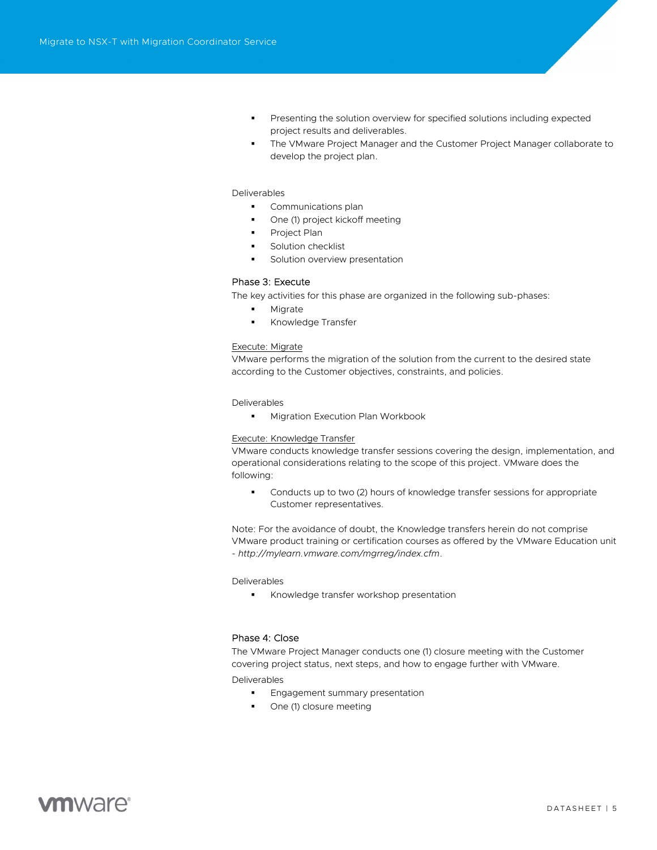- Presenting the solution overview for specified solutions including expected project results and deliverables.
- The VMware Project Manager and the Customer Project Manager collaborate to develop the project plan.

#### Deliverables

- **Communications plan**
- One (1) project kickoff meeting
- Project Plan
- Solution checklist
- Solution overview presentation

#### Phase 3: Execute

The key activities for this phase are organized in the following sub-phases:

- **Migrate**
- Knowledge Transfer

#### Execute: Migrate

VMware performs the migration of the solution from the current to the desired state according to the Customer objectives, constraints, and policies.

#### Deliverables

**Migration Execution Plan Workbook** 

#### Execute: Knowledge Transfer

VMware conducts knowledge transfer sessions covering the design, implementation, and operational considerations relating to the scope of this project. VMware does the following:

 Conducts up to two (2) hours of knowledge transfer sessions for appropriate Customer representatives.

Note: For the avoidance of doubt, the Knowledge transfers herein do not comprise VMware product training or certification courses as offered by the VMware Education unit - http://mylearn.vmware.com/mgrreg/index.cfm.

Deliverables

**Knowledge transfer workshop presentation** 

#### Phase 4: Close

The VMware Project Manager conducts one (1) closure meeting with the Customer covering project status, next steps, and how to engage further with VMware.

Deliverables

- **Engagement summary presentation**
- One (1) closure meeting